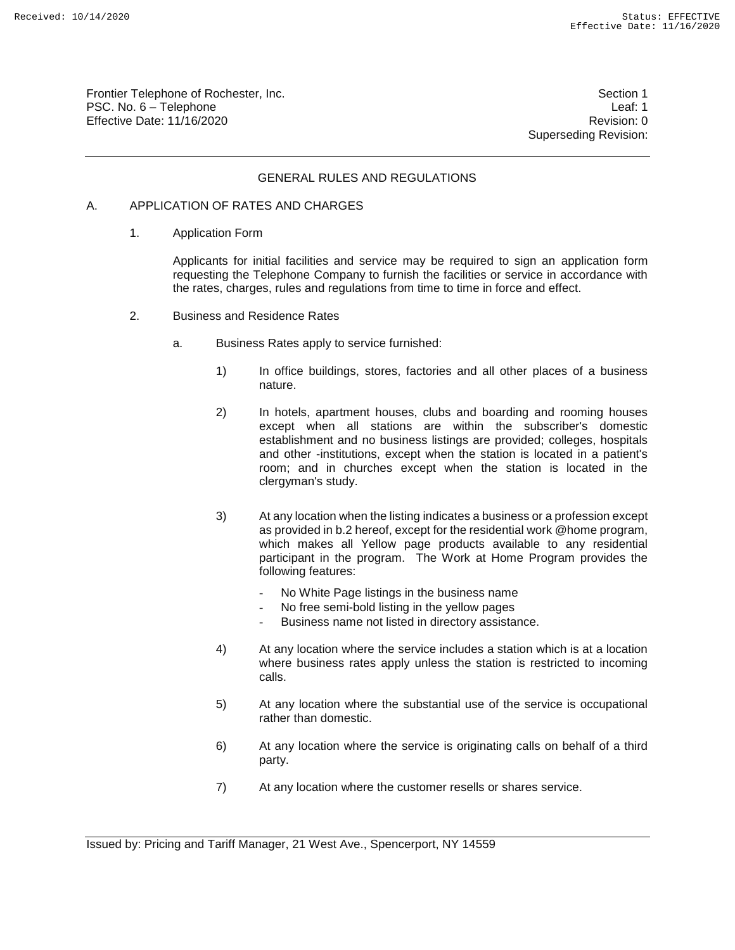Frontier Telephone of Rochester, Inc. Section 1 PSC. No. 6 – Telephone Leaf: 1 Effective Date: 11/16/2020 **Review Accounts** Effective Date: 0

Superseding Revision:

# GENERAL RULES AND REGULATIONS

#### A. APPLICATION OF RATES AND CHARGES

1. Application Form

Applicants for initial facilities and service may be required to sign an application form requesting the Telephone Company to furnish the facilities or service in accordance with the rates, charges, rules and regulations from time to time in force and effect.

- 2. Business and Residence Rates
	- a. Business Rates apply to service furnished:
		- 1) In office buildings, stores, factories and all other places of a business nature.
		- 2) In hotels, apartment houses, clubs and boarding and rooming houses except when all stations are within the subscriber's domestic establishment and no business listings are provided; colleges, hospitals and other -institutions, except when the station is located in a patient's room; and in churches except when the station is located in the clergyman's study.
		- 3) At any location when the listing indicates a business or a profession except as provided in b.2 hereof, except for the residential work @home program, which makes all Yellow page products available to any residential participant in the program. The Work at Home Program provides the following features:
			- No White Page listings in the business name
			- No free semi-bold listing in the yellow pages
			- Business name not listed in directory assistance.
		- 4) At any location where the service includes a station which is at a location where business rates apply unless the station is restricted to incoming calls.
		- 5) At any location where the substantial use of the service is occupational rather than domestic.
		- 6) At any location where the service is originating calls on behalf of a third party.
		- 7) At any location where the customer resells or shares service.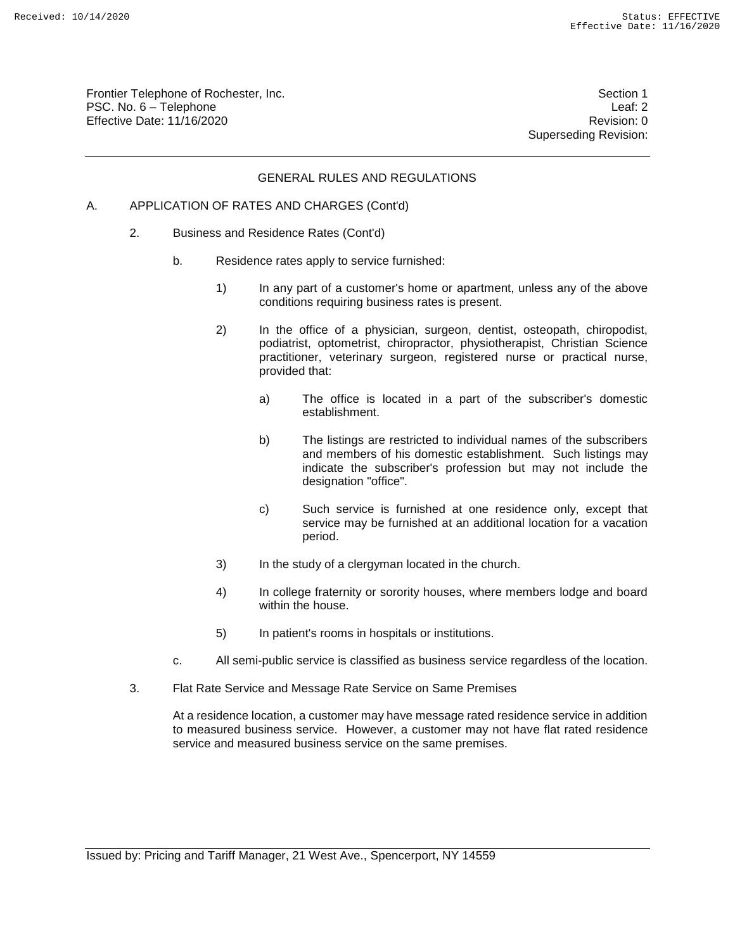Frontier Telephone of Rochester, Inc. Section 1 PSC. No. 6 – Telephone Leaf: 2 Effective Date: 11/16/2020 **Review Accounts** Effective Date: 0

Superseding Revision:

#### GENERAL RULES AND REGULATIONS

- A. APPLICATION OF RATES AND CHARGES (Cont'd)
	- 2. Business and Residence Rates (Cont'd)
		- b. Residence rates apply to service furnished:
			- 1) In any part of a customer's home or apartment, unless any of the above conditions requiring business rates is present.
			- 2) In the office of a physician, surgeon, dentist, osteopath, chiropodist, podiatrist, optometrist, chiropractor, physiotherapist, Christian Science practitioner, veterinary surgeon, registered nurse or practical nurse, provided that:
				- a) The office is located in a part of the subscriber's domestic establishment.
				- b) The listings are restricted to individual names of the subscribers and members of his domestic establishment. Such listings may indicate the subscriber's profession but may not include the designation "office".
				- c) Such service is furnished at one residence only, except that service may be furnished at an additional location for a vacation period.
			- 3) In the study of a clergyman located in the church.
			- 4) In college fraternity or sorority houses, where members lodge and board within the house.
			- 5) In patient's rooms in hospitals or institutions.
		- c. All semi-public service is classified as business service regardless of the location.
	- 3. Flat Rate Service and Message Rate Service on Same Premises

At a residence location, a customer may have message rated residence service in addition to measured business service. However, a customer may not have flat rated residence service and measured business service on the same premises.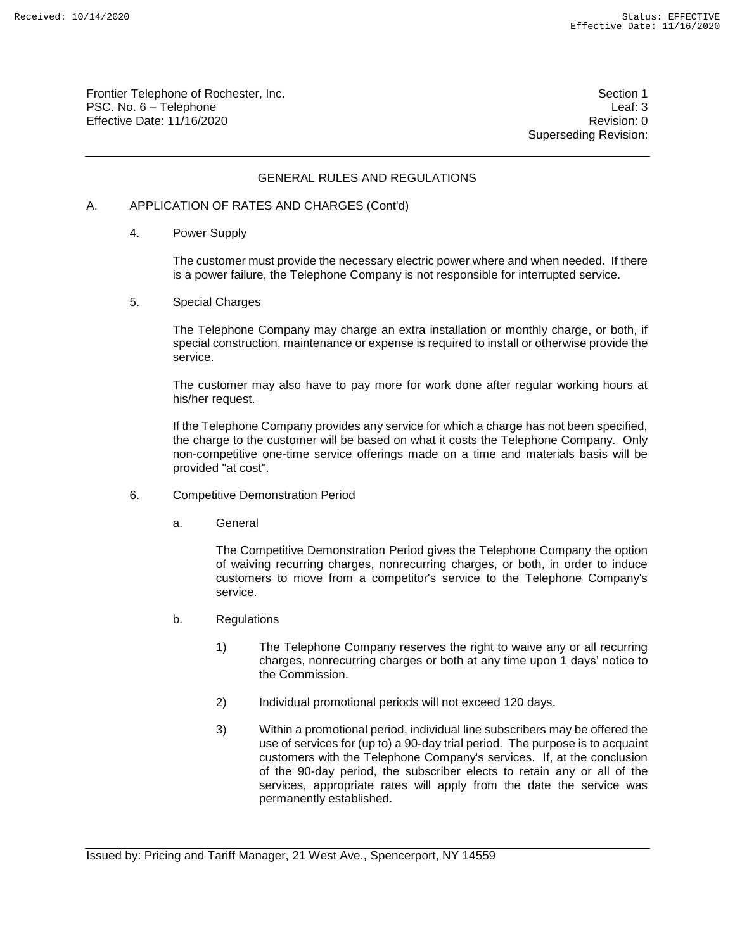Frontier Telephone of Rochester, Inc. Section 1 PSC. No. 6 – Telephone Leaf: 3 Effective Date: 11/16/2020 **Review Accounts** Effective Date: 0

Superseding Revision:

# GENERAL RULES AND REGULATIONS

#### A. APPLICATION OF RATES AND CHARGES (Cont'd)

4. Power Supply

The customer must provide the necessary electric power where and when needed. If there is a power failure, the Telephone Company is not responsible for interrupted service.

5. Special Charges

The Telephone Company may charge an extra installation or monthly charge, or both, if special construction, maintenance or expense is required to install or otherwise provide the service.

The customer may also have to pay more for work done after regular working hours at his/her request.

If the Telephone Company provides any service for which a charge has not been specified, the charge to the customer will be based on what it costs the Telephone Company. Only non-competitive one-time service offerings made on a time and materials basis will be provided "at cost".

- 6. Competitive Demonstration Period
	- a. General

The Competitive Demonstration Period gives the Telephone Company the option of waiving recurring charges, nonrecurring charges, or both, in order to induce customers to move from a competitor's service to the Telephone Company's service.

- b. Regulations
	- 1) The Telephone Company reserves the right to waive any or all recurring charges, nonrecurring charges or both at any time upon 1 days' notice to the Commission.
	- 2) Individual promotional periods will not exceed 120 days.
	- 3) Within a promotional period, individual line subscribers may be offered the use of services for (up to) a 90-day trial period. The purpose is to acquaint customers with the Telephone Company's services. If, at the conclusion of the 90-day period, the subscriber elects to retain any or all of the services, appropriate rates will apply from the date the service was permanently established.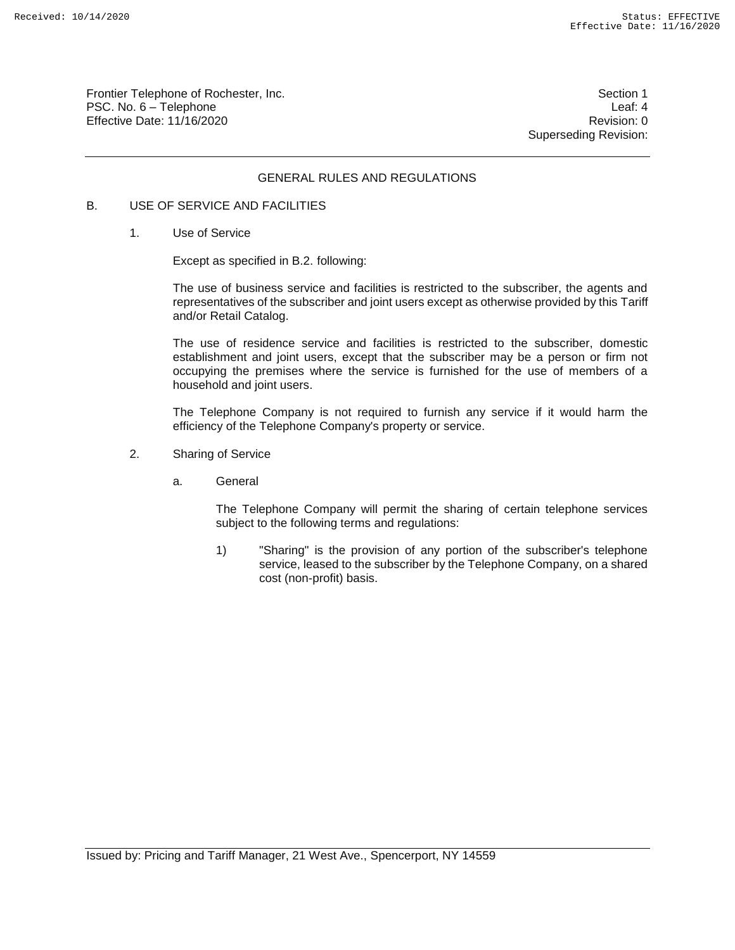Frontier Telephone of Rochester, Inc. Section 1 PSC. No. 6 – Telephone Leaf: 4 Effective Date: 11/16/2020 **Review Account 2018** Revision: 0

Superseding Revision:

# GENERAL RULES AND REGULATIONS

# B. USE OF SERVICE AND FACILITIES

1. Use of Service

Except as specified in B.2. following:

The use of business service and facilities is restricted to the subscriber, the agents and representatives of the subscriber and joint users except as otherwise provided by this Tariff and/or Retail Catalog.

The use of residence service and facilities is restricted to the subscriber, domestic establishment and joint users, except that the subscriber may be a person or firm not occupying the premises where the service is furnished for the use of members of a household and joint users.

The Telephone Company is not required to furnish any service if it would harm the efficiency of the Telephone Company's property or service.

- 2. Sharing of Service
	- a. General

The Telephone Company will permit the sharing of certain telephone services subject to the following terms and regulations:

1) "Sharing" is the provision of any portion of the subscriber's telephone service, leased to the subscriber by the Telephone Company, on a shared cost (non-profit) basis.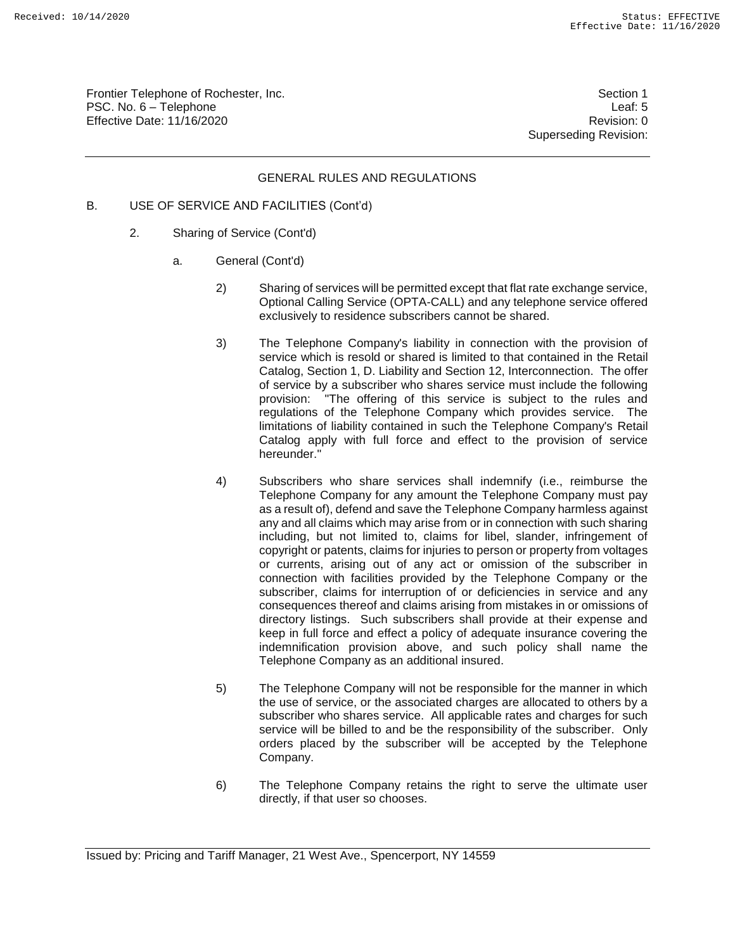Frontier Telephone of Rochester, Inc. Section 1 PSC. No. 6 – Telephone Leaf: 5 Effective Date: 11/16/2020 **Review Accounts** Effective Date: 0

Superseding Revision:

# GENERAL RULES AND REGULATIONS

- B. USE OF SERVICE AND FACILITIES (Cont'd)
	- 2. Sharing of Service (Cont'd)
		- a. General (Cont'd)
			- 2) Sharing of services will be permitted except that flat rate exchange service, Optional Calling Service (OPTA-CALL) and any telephone service offered exclusively to residence subscribers cannot be shared.
			- 3) The Telephone Company's liability in connection with the provision of service which is resold or shared is limited to that contained in the Retail Catalog, Section 1, D. Liability and Section 12, Interconnection. The offer of service by a subscriber who shares service must include the following provision: "The offering of this service is subject to the rules and regulations of the Telephone Company which provides service. The limitations of liability contained in such the Telephone Company's Retail Catalog apply with full force and effect to the provision of service hereunder."
			- 4) Subscribers who share services shall indemnify (i.e., reimburse the Telephone Company for any amount the Telephone Company must pay as a result of), defend and save the Telephone Company harmless against any and all claims which may arise from or in connection with such sharing including, but not limited to, claims for libel, slander, infringement of copyright or patents, claims for injuries to person or property from voltages or currents, arising out of any act or omission of the subscriber in connection with facilities provided by the Telephone Company or the subscriber, claims for interruption of or deficiencies in service and any consequences thereof and claims arising from mistakes in or omissions of directory listings. Such subscribers shall provide at their expense and keep in full force and effect a policy of adequate insurance covering the indemnification provision above, and such policy shall name the Telephone Company as an additional insured.
			- 5) The Telephone Company will not be responsible for the manner in which the use of service, or the associated charges are allocated to others by a subscriber who shares service. All applicable rates and charges for such service will be billed to and be the responsibility of the subscriber. Only orders placed by the subscriber will be accepted by the Telephone Company.
			- 6) The Telephone Company retains the right to serve the ultimate user directly, if that user so chooses.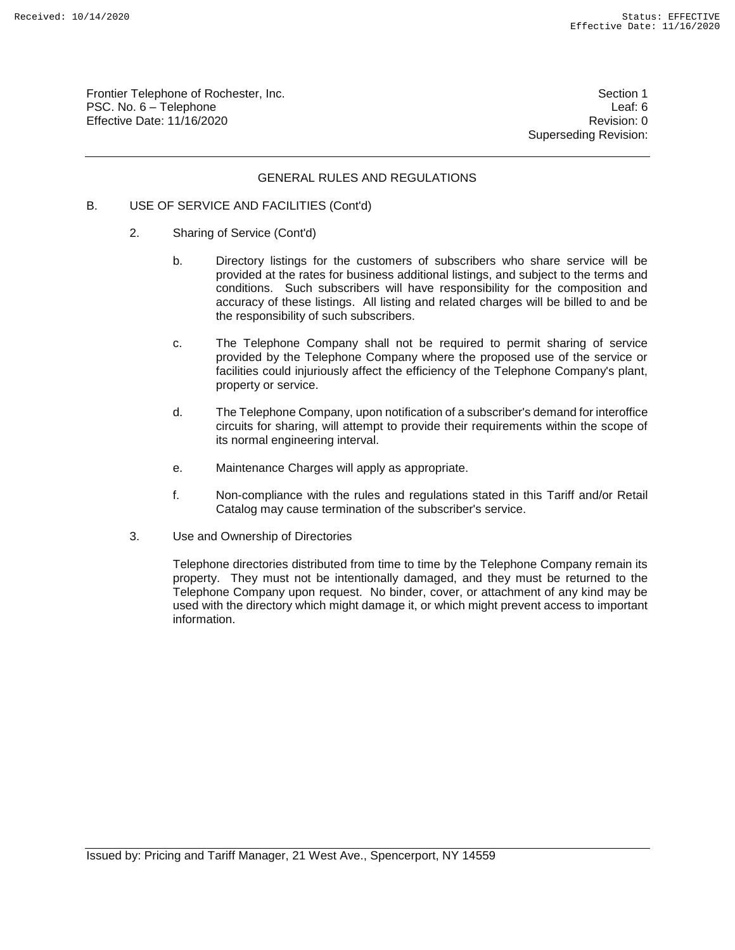Frontier Telephone of Rochester, Inc. Section 1 PSC. No. 6 – Telephone Leaf: 6 Effective Date: 11/16/2020 **Review Accounts** Effective Date: 0

Superseding Revision:

#### GENERAL RULES AND REGULATIONS

#### B. USE OF SERVICE AND FACILITIES (Cont'd)

- 2. Sharing of Service (Cont'd)
	- b. Directory listings for the customers of subscribers who share service will be provided at the rates for business additional listings, and subject to the terms and conditions. Such subscribers will have responsibility for the composition and accuracy of these listings. All listing and related charges will be billed to and be the responsibility of such subscribers.
	- c. The Telephone Company shall not be required to permit sharing of service provided by the Telephone Company where the proposed use of the service or facilities could injuriously affect the efficiency of the Telephone Company's plant, property or service.
	- d. The Telephone Company, upon notification of a subscriber's demand for interoffice circuits for sharing, will attempt to provide their requirements within the scope of its normal engineering interval.
	- e. Maintenance Charges will apply as appropriate.
	- f. Non-compliance with the rules and regulations stated in this Tariff and/or Retail Catalog may cause termination of the subscriber's service.
- 3. Use and Ownership of Directories

Telephone directories distributed from time to time by the Telephone Company remain its property. They must not be intentionally damaged, and they must be returned to the Telephone Company upon request. No binder, cover, or attachment of any kind may be used with the directory which might damage it, or which might prevent access to important information.